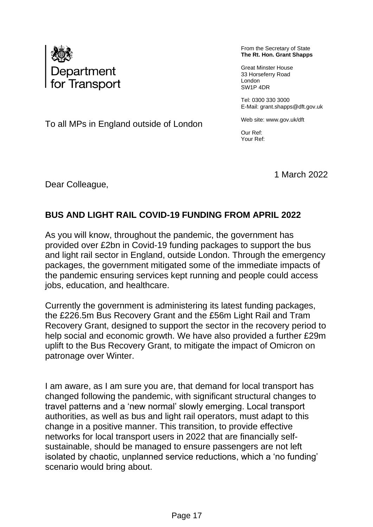

From the Secretary of State **The Rt. Hon. Grant Shapps**

Great Minster House 33 Horseferry Road London SW1P 4DR

Tel: 0300 330 3000 E-Mail: grant.shapps@dft.gov.uk

Web site: www.gov.uk/dft

Our Ref: Your Ref:

1 March 2022

To all MPs in England outside of London

Dear Colleague,

## **BUS AND LIGHT RAIL COVID-19 FUNDING FROM APRIL 2022**

As you will know, throughout the pandemic, the government has provided over £2bn in Covid-19 funding packages to support the bus and light rail sector in England, outside London. Through the emergency packages, the government mitigated some of the immediate impacts of the pandemic ensuring services kept running and people could access jobs, education, and healthcare.

Currently the government is administering its latest funding packages, the £226.5m Bus Recovery Grant and the £56m Light Rail and Tram Recovery Grant, designed to support the sector in the recovery period to help social and economic growth. We have also provided a further £29m uplift to the Bus Recovery Grant, to mitigate the impact of Omicron on patronage over Winter.

I am aware, as I am sure you are, that demand for local transport has changed following the pandemic, with significant structural changes to travel patterns and a 'new normal' slowly emerging. Local transport authorities, as well as bus and light rail operators, must adapt to this change in a positive manner. This transition, to provide effective networks for local transport users in 2022 that are financially selfsustainable, should be managed to ensure passengers are not left isolated by chaotic, unplanned service reductions, which a 'no funding' scenario would bring about.